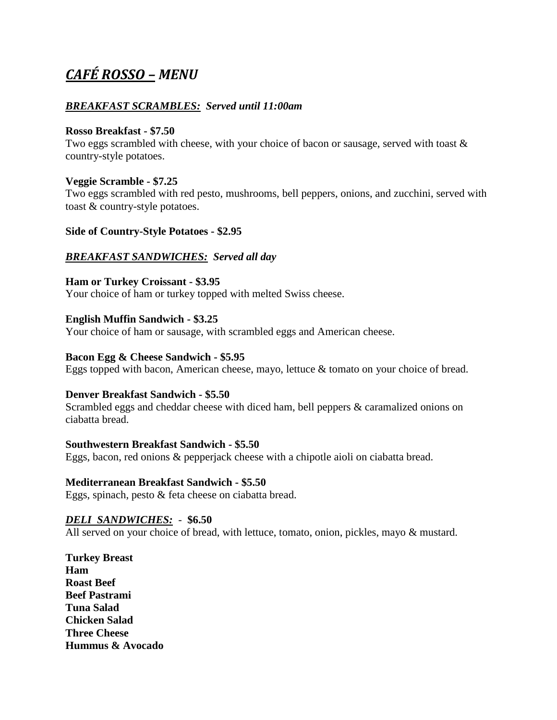# *CAFÉ ROSSO – MENU*

# *BREAKFAST SCRAMBLES: Served until 11:00am*

## **Rosso Breakfast - \$7.50**

Two eggs scrambled with cheese, with your choice of bacon or sausage, served with toast & country-style potatoes.

# **Veggie Scramble - \$7.25**

Two eggs scrambled with red pesto, mushrooms, bell peppers, onions, and zucchini, served with toast & country-style potatoes.

# **Side of Country-Style Potatoes - \$2.95**

# *BREAKFAST SANDWICHES: Served all day*

# **Ham or Turkey Croissant - \$3.95**

Your choice of ham or turkey topped with melted Swiss cheese.

# **English Muffin Sandwich - \$3.25**

Your choice of ham or sausage, with scrambled eggs and American cheese.

# **Bacon Egg & Cheese Sandwich - \$5.95**

Eggs topped with bacon, American cheese, mayo, lettuce & tomato on your choice of bread.

#### **Denver Breakfast Sandwich - \$5.50**

Scrambled eggs and cheddar cheese with diced ham, bell peppers & caramalized onions on ciabatta bread.

#### **Southwestern Breakfast Sandwich - \$5.50**

Eggs, bacon, red onions & pepperjack cheese with a chipotle aioli on ciabatta bread.

#### **Mediterranean Breakfast Sandwich - \$5.50**

Eggs, spinach, pesto & feta cheese on ciabatta bread.

# *DELI SANDWICHES:* - **\$6.50**

All served on your choice of bread, with lettuce, tomato, onion, pickles, mayo & mustard.

**Turkey Breast Ham Roast Beef Beef Pastrami Tuna Salad Chicken Salad Three Cheese Hummus & Avocado**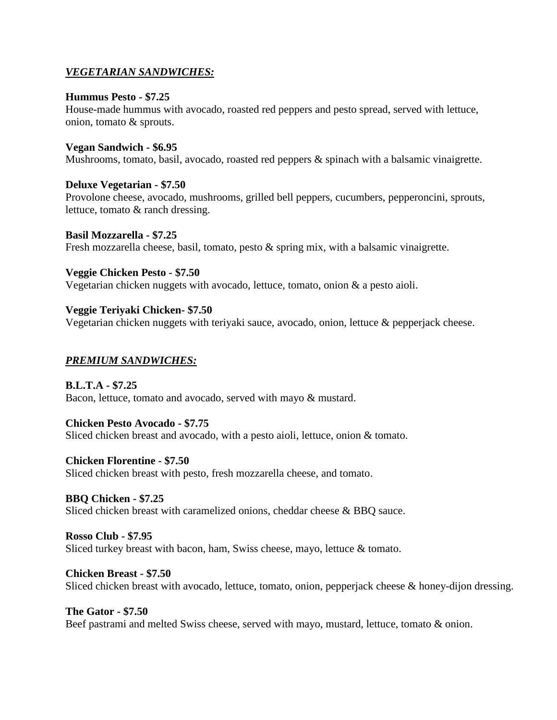# *VEGETARIAN SANDWICHES:*

## **Hummus Pesto - \$7.25**

House-made hummus with avocado, roasted red peppers and pesto spread, served with lettuce, onion, tomato & sprouts.

## **Vegan Sandwich - \$6.95**

Mushrooms, tomato, basil, avocado, roasted red peppers & spinach with a balsamic vinaigrette.

# **Deluxe Vegetarian - \$7.50**

Provolone cheese, avocado, mushrooms, grilled bell peppers, cucumbers, pepperoncini, sprouts, lettuce, tomato & ranch dressing.

# **Basil Mozzarella - \$7.25**

Fresh mozzarella cheese, basil, tomato, pesto & spring mix, with a balsamic vinaigrette.

# **Veggie Chicken Pesto - \$7.50**

Vegetarian chicken nuggets with avocado, lettuce, tomato, onion & a pesto aioli.

# **Veggie Teriyaki Chicken- \$7.50**

Vegetarian chicken nuggets with teriyaki sauce, avocado, onion, lettuce & pepperjack cheese.

# *PREMIUM SANDWICHES:*

**B.L.T.A - \$7.25** Bacon, lettuce, tomato and avocado, served with mayo & mustard.

# **Chicken Pesto Avocado - \$7.75**

Sliced chicken breast and avocado, with a pesto aioli, lettuce, onion & tomato.

#### **Chicken Florentine - \$7.50**

Sliced chicken breast with pesto, fresh mozzarella cheese, and tomato.

# **BBQ Chicken - \$7.25**

Sliced chicken breast with caramelized onions, cheddar cheese & BBO sauce.

# **Rosso Club - \$7.95**

Sliced turkey breast with bacon, ham, Swiss cheese, mayo, lettuce & tomato.

#### **Chicken Breast - \$7.50**

Sliced chicken breast with avocado, lettuce, tomato, onion, pepperjack cheese & honey-dijon dressing.

# **The Gator - \$7.50**

Beef pastrami and melted Swiss cheese, served with mayo, mustard, lettuce, tomato & onion.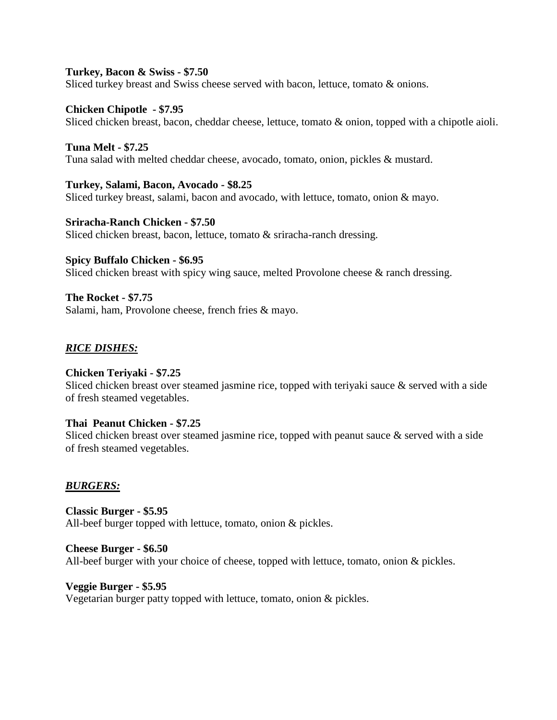#### **Turkey, Bacon & Swiss - \$7.50**

Sliced turkey breast and Swiss cheese served with bacon, lettuce, tomato & onions.

#### **Chicken Chipotle - \$7.95**

Sliced chicken breast, bacon, cheddar cheese, lettuce, tomato & onion, topped with a chipotle aioli.

#### **Tuna Melt - \$7.25** Tuna salad with melted cheddar cheese, avocado, tomato, onion, pickles & mustard.

#### **Turkey, Salami, Bacon, Avocado - \$8.25**

Sliced turkey breast, salami, bacon and avocado, with lettuce, tomato, onion & mayo.

**Sriracha-Ranch Chicken - \$7.50** Sliced chicken breast, bacon, lettuce, tomato & sriracha-ranch dressing.

#### **Spicy Buffalo Chicken - \$6.95**

Sliced chicken breast with spicy wing sauce, melted Provolone cheese & ranch dressing.

**The Rocket - \$7.75** Salami, ham, Provolone cheese, french fries & mayo.

#### *RICE DISHES:*

#### **Chicken Teriyaki - \$7.25**

Sliced chicken breast over steamed jasmine rice, topped with teriyaki sauce & served with a side of fresh steamed vegetables.

#### **Thai Peanut Chicken - \$7.25**

Sliced chicken breast over steamed jasmine rice, topped with peanut sauce & served with a side of fresh steamed vegetables.

#### *BURGERS:*

**Classic Burger - \$5.95** All-beef burger topped with lettuce, tomato, onion & pickles.

**Cheese Burger - \$6.50** All-beef burger with your choice of cheese, topped with lettuce, tomato, onion & pickles.

**Veggie Burger - \$5.95** Vegetarian burger patty topped with lettuce, tomato, onion & pickles.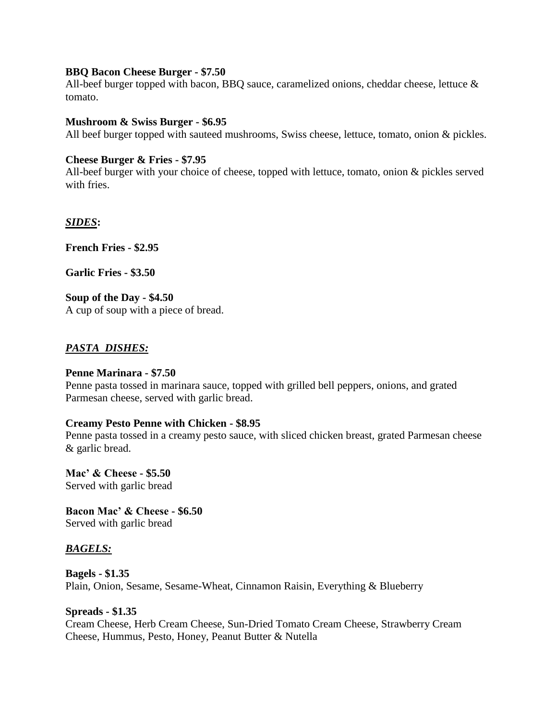#### **BBQ Bacon Cheese Burger - \$7.50**

All-beef burger topped with bacon, BBQ sauce, caramelized onions, cheddar cheese, lettuce & tomato.

#### **Mushroom & Swiss Burger - \$6.95**

All beef burger topped with sauteed mushrooms, Swiss cheese, lettuce, tomato, onion & pickles.

#### **Cheese Burger & Fries - \$7.95**

All-beef burger with your choice of cheese, topped with lettuce, tomato, onion & pickles served with fries.

#### *SIDES***:**

**French Fries - \$2.95**

**Garlic Fries - \$3.50**

**Soup of the Day - \$4.50** A cup of soup with a piece of bread.

#### *PASTA DISHES:*

#### **Penne Marinara - \$7.50**

Penne pasta tossed in marinara sauce, topped with grilled bell peppers, onions, and grated Parmesan cheese, served with garlic bread.

#### **Creamy Pesto Penne with Chicken - \$8.95**

Penne pasta tossed in a creamy pesto sauce, with sliced chicken breast, grated Parmesan cheese & garlic bread.

**Mac' & Cheese - \$5.50** Served with garlic bread

**Bacon Mac' & Cheese - \$6.50** Served with garlic bread

#### *BAGELS:*

**Bagels - \$1.35** Plain, Onion, Sesame, Sesame-Wheat, Cinnamon Raisin, Everything & Blueberry

**Spreads - \$1.35** Cream Cheese, Herb Cream Cheese, Sun-Dried Tomato Cream Cheese, Strawberry Cream Cheese, Hummus, Pesto, Honey, Peanut Butter & Nutella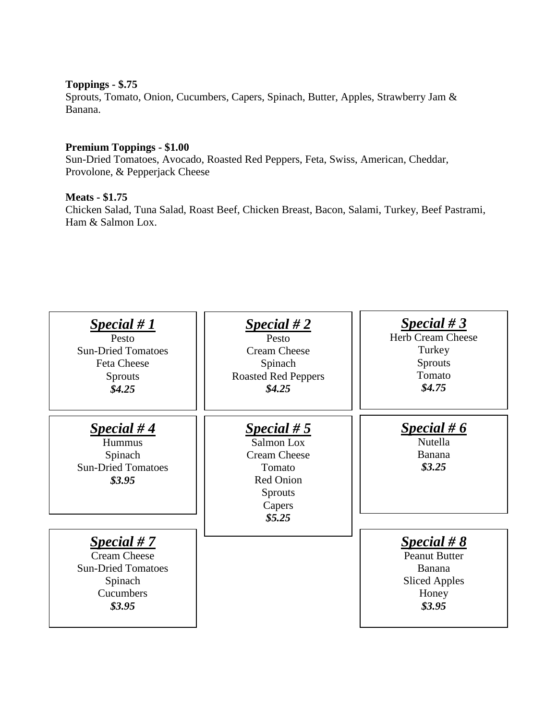# **Toppings - \$.75**

Sprouts, Tomato, Onion, Cucumbers, Capers, Spinach, Butter, Apples, Strawberry Jam & Banana.

# **Premium Toppings - \$1.00**

Sun-Dried Tomatoes, Avocado, Roasted Red Peppers, Feta, Swiss, American, Cheddar, Provolone, & Pepperjack Cheese

#### **Meats - \$1.75**

Chicken Salad, Tuna Salad, Roast Beef, Chicken Breast, Bacon, Salami, Turkey, Beef Pastrami, Ham & Salmon Lox.